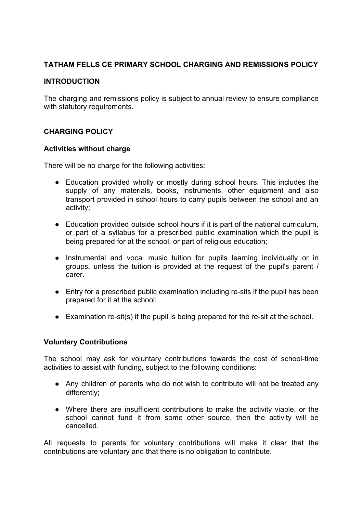# **TATHAM FELLS CE PRIMARY SCHOOL CHARGING AND REMISSIONS POLICY**

## **INTRODUCTION**

The charging and remissions policy is subject to annual review to ensure compliance with statutory requirements.

## **CHARGING POLICY**

### **Activities without charge**

There will be no charge for the following activities:

- Education provided wholly or mostly during school hours. This includes the supply of any materials, books, instruments, other equipment and also transport provided in school hours to carry pupils between the school and an activity;
- Education provided outside school hours if it is part of the national curriculum, or part of a syllabus for a prescribed public examination which the pupil is being prepared for at the school, or part of religious education;
- Instrumental and vocal music tuition for pupils learning individually or in groups, unless the tuition is provided at the request of the pupil's parent / carer.
- Entry for a prescribed public examination including re-sits if the pupil has been prepared for it at the school;
- Examination re-sit(s) if the pupil is being prepared for the re-sit at the school.

### **Voluntary Contributions**

The school may ask for voluntary contributions towards the cost of school-time activities to assist with funding, subject to the following conditions:

- Any children of parents who do not wish to contribute will not be treated any differently;
- Where there are insufficient contributions to make the activity viable, or the school cannot fund it from some other source, then the activity will be cancelled.

All requests to parents for voluntary contributions will make it clear that the contributions are voluntary and that there is no obligation to contribute.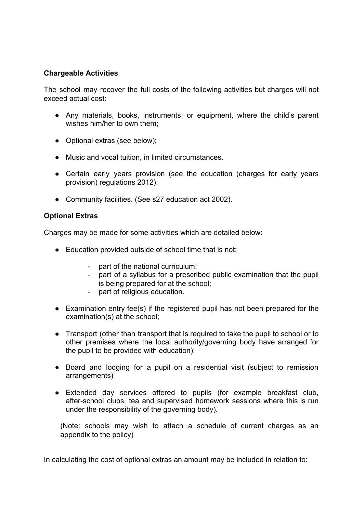## **Chargeable Activities**

The school may recover the full costs of the following activities but charges will not exceed actual cost:

- Any materials, books, instruments, or equipment, where the child's parent wishes him/her to own them;
- Optional extras (see below);
- Music and vocal tuition, in limited circumstances.
- Certain early vears provision (see the education (charges for early vears provision) regulations 2012);
- Community facilities. (See s27 education act 2002).

## **Optional Extras**

Charges may be made for some activities which are detailed below:

- Education provided outside of school time that is not:
	- part of the national curriculum;
	- part of a syllabus for a prescribed public examination that the pupil is being prepared for at the school;
	- part of religious education.
- Examination entry fee(s) if the registered pupil has not been prepared for the examination(s) at the school;
- Transport (other than transport that is required to take the pupil to school or to other premises where the local authority/governing body have arranged for the pupil to be provided with education);
- Board and lodging for a pupil on a residential visit (subject to remission arrangements)
- Extended day services offered to pupils (for example breakfast club, after-school clubs, tea and supervised homework sessions where this is run under the responsibility of the governing body).

(Note: schools may wish to attach a schedule of current charges as an appendix to the policy)

In calculating the cost of optional extras an amount may be included in relation to: